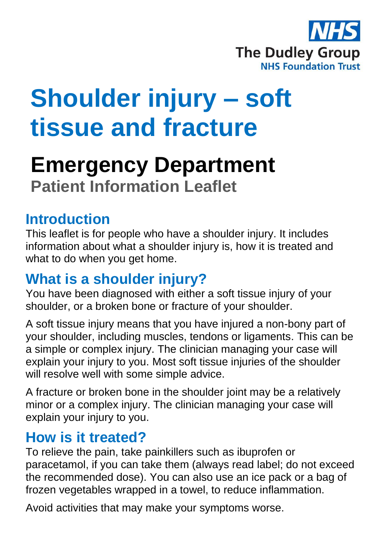

# **Shoulder injury – soft tissue and fracture**

## **Emergency Department Patient Information Leaflet**

## **Introduction**

This leaflet is for people who have a shoulder injury. It includes information about what a shoulder injury is, how it is treated and what to do when you get home.

## **What is a shoulder injury?**

You have been diagnosed with either a soft tissue injury of your shoulder, or a broken bone or fracture of your shoulder.

A soft tissue injury means that you have injured a non-bony part of your shoulder, including muscles, tendons or ligaments. This can be a simple or complex injury. The clinician managing your case will explain your injury to you. Most soft tissue injuries of the shoulder will resolve well with some simple advice.

A fracture or broken bone in the shoulder joint may be a relatively minor or a complex injury. The clinician managing your case will explain your injury to you.

## **How is it treated?**

To relieve the pain, take painkillers such as ibuprofen or paracetamol, if you can take them (always read label; do not exceed the recommended dose). You can also use an ice pack or a bag of frozen vegetables wrapped in a towel, to reduce inflammation.

Avoid activities that may make your symptoms worse.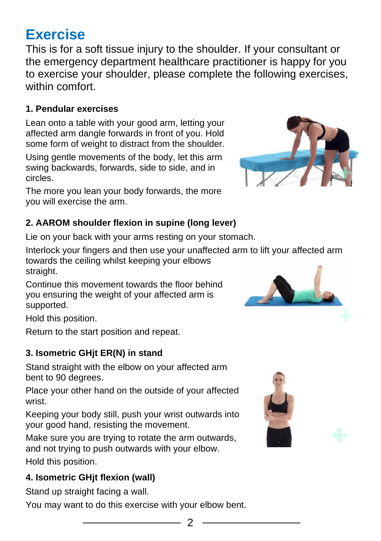## **Exercise**

This is for a soft tissue injury to the shoulder. If your consultant or the emergency department healthcare practitioner is happy for you to exercise your shoulder, please complete the following exercises, within comfort.

#### **1. Pendular exercises**

Lean onto a table with your good arm, letting your affected arm dangle forwards in front of you. Hold some form of weight to distract from the shoulder.

Using gentle movements of the body, let this arm swing backwards, forwards, side to side, and in circles.

The more you lean your body forwards, the more you will exercise the arm.

#### **2. AAROM shoulder flexion in supine (long lever)**

Lie on your back with your arms resting on your stomach.

Interlock your fingers and then use your unaffected arm to lift your affected arm towards the ceiling whilst keeping your elbows straight.

Continue this movement towards the floor behind you ensuring the weight of your affected arm is supported.

Hold this position.

Return to the start position and repeat.

#### **3. Isometric GHjt ER(N) in stand**

Stand straight with the elbow on your affected arm bent to 90 degrees.

Place your other hand on the outside of your affected wrist.

Keeping your body still, push your wrist outwards into your good hand, resisting the movement.

Make sure you are trying to rotate the arm outwards, and not trying to push outwards with your elbow.

Hold this position.

#### **4. Isometric GHjt flexion (wall)**

Stand up straight facing a wall.

You may want to do this exercise with your elbow bent.





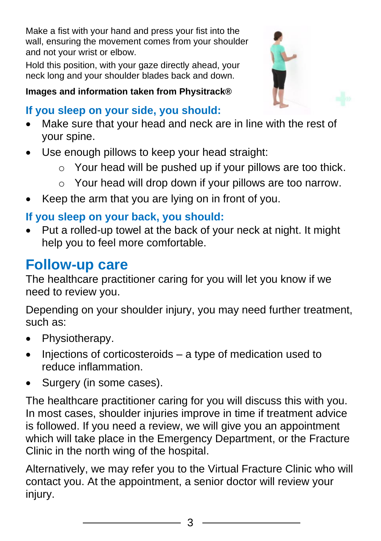Make a fist with your hand and press your fist into the wall, ensuring the movement comes from your shoulder and not your wrist or elbow.

Hold this position, with your gaze directly ahead, your neck long and your shoulder blades back and down.

#### **Images and information taken from Physitrack®**

## **If you sleep on your side, you should:**

- Make sure that your head and neck are in line with the rest of your spine.
- Use enough pillows to keep your head straight:
	- $\circ$  Your head will be pushed up if your pillows are too thick.
	- o Your head will drop down if your pillows are too narrow.
- Keep the arm that you are lying on in front of you.

### **If you sleep on your back, you should:**

• Put a rolled-up towel at the back of your neck at night. It might help you to feel more comfortable.

## **Follow-up care**

The healthcare practitioner caring for you will let you know if we need to review you.

Depending on your shoulder injury, you may need further treatment, such as:

- Physiotherapy.
- Injections of corticosteroids a type of medication used to reduce inflammation.
- Surgery (in some cases).

The healthcare practitioner caring for you will discuss this with you. In most cases, shoulder injuries improve in time if treatment advice is followed. If you need a review, we will give you an appointment which will take place in the Emergency Department, or the Fracture Clinic in the north wing of the hospital.

Alternatively, we may refer you to the Virtual Fracture Clinic who will contact you. At the appointment, a senior doctor will review your injury.